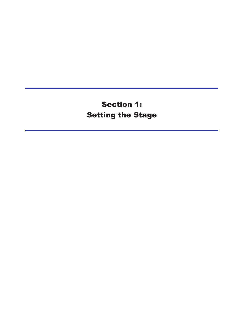**Section 1: Setting the Stage**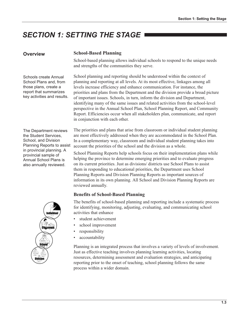# **SECTION 1: SETTING THE STAGE I**

## Overview

Schools create Annual School Plans and, from those plans, create a report that summarizes key activities and results.

#### **School-Based Planning**

School-based planning allows individual schools to respond to the unique needs and strengths of the communities they serve.

School planning and reporting should be understood within the context of planning and reporting at all levels. At its most effective, linkages among all levels increase efficiency and enhance communication. For instance, the priorities and plans from the Department and the division provide a broad picture of important issues. Schools, in turn, inform the division and Department, identifying many of the same issues and related activities from the school-level perspective in the Annual School Plan, School Planning Report, and Community Report. Efficiencies occur when all stakeholders plan, communicate, and report in conjunction with each other.

The Department reviews the Student Services. School, and Division Planning Reports to assist in provincial planning. A provincial sample of **Annual School Plans is** also annually reviewed.

The priorities and plans that arise from classroom or individual student planning are most effectively addressed when they are accommodated in the School Plan. In a complementary way, classroom and individual student planning takes into account the priorities of the school and the division as a whole.

School Planning Reports help schools focus on their implementation plans while helping the province to determine emerging priorities and to evaluate progress on its current priorities. Just as divisions/ districts use School Plans to assist them in responding to educational priorities, the Department uses School Planning Reports and Division Planning Reports as important sources of information in its own planning. All School and Division Planning Reports are reviewed annually.

### **Benefits of School-Based Planning**

The benefits of school-based planning and reporting include a systematic process for identifying, monitoring, adjusting, evaluating, and communicating school activities that enhance

- student achievement
- school improvement
- responsibility
- $\bullet$ accountability

Planning is an integrated process that involves a variety of levels of involvement. Just as effective teaching involves planning learning activities, locating resources, determining assessment and evaluation strategies, and anticipating reporting prior to the onset of teaching, school planning follows the same process within a wider domain.

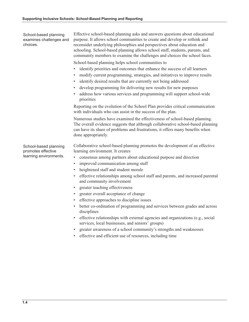Effective school-based planning asks and answers questions about educational School-based planning examines challenges and purpose. It allows school communities to create and develop or rethink and choices. reconsider underlying philosophies and perspectives about education and schooling. School-based planning allows school staff, students, parents, and community members to examine the challenges and choices the school faces. School-based planning helps school communities to identify priorities and outcomes that enhance the success of all learners modify current programming, strategies, and initiatives to improve results identify desired results that are currently not being addressed develop programming for delivering new results for new purposes address how various services and programming will support school-wide priorities Reporting on the evolution of the School Plan provides critical communication with individuals who can assist in the success of the plan. Numerous studies have examined the effectiveness of school-based planning. The overall evidence suggests that although collaborative school-based planning can have its share of problems and frustrations, it offers many benefits when done appropriately. Collaborative school-based planning promotes the development of an effective School-based planning promotes effective learning environment. It creates learning environments. consensus among partners about educational purpose and direction  $\bullet$ improved communication among staff heightened staff and student morale

- effective relationships among school staff and parents, and increased parental and community involvement
- greater teaching effectiveness  $\bullet$
- greater overall acceptance of change
- effective approaches to discipline issues  $\bullet$
- better co-ordination of programming and services between grades and across disciplines
- effective relationships with external agencies and organizations (e.g., social services, local businesses, and seniors' groups)
- greater awareness of a school community's strengths and weaknesses
- effective and efficient use of resources, including time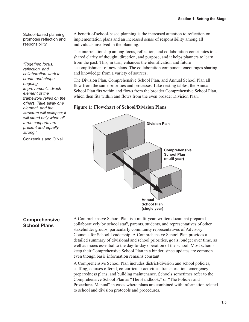School-based planning promotes reflection and responsibility.

"Together, focus, reflection, and collaboration work to create and shape onaoina improvement....Each element of the framework relies on the others. Take away one element, and the structure will collapse: it will stand only when all three supports are present and equally strong."

Conzemius and O'Neill

A benefit of school-based planning is the increased attention to reflection on implementation plans and an increased sense of responsibility among all individuals involved in the planning.

The interrelationship among focus, reflection, and collaboration contributes to a shared clarity of thought, direction, and purpose, and it helps planners to learn from the past. This, in turn, enhances the identification and future accomplishment of new plans. The collaboration component encourages sharing and knowledge from a variety of sources.

The Division Plan, Comprehensive School Plan, and Annual School Plan all flow from the same priorities and processes. Like nesting tables, the Annual School Plan fits within and flows from the broader Comprehensive School Plan, which then fits within and flows from the even broader Division Plan.

**Figure 1: Flowchart of School/Division Plans** 



# **Comprehensive School Plans**

A Comprehensive School Plan is a multi-year, written document prepared collaboratively by school staff, parents, students, and representatives of other stakeholder groups, particularly community representatives of Advisory Councils for School Leadership. A Comprehensive School Plan provides a detailed summary of divisional and school priorities, goals, budget over time, as well as issues essential to the day-to-day operation of the school. Most schools keep their Comprehensive School Plan in a binder, since updates are common even though basic information remains constant.

A Comprehensive School Plan includes district/division and school policies, staffing, courses offered, co-curricular activities, transportation, emergency preparedness plans, and building maintenance. Schools sometimes refer to the Comprehensive School Plan as "The Handbook," or "The Policies and Procedures Manual" in cases where plans are combined with information related to school and division protocols and procedures.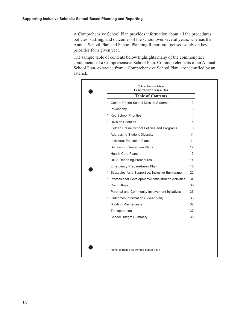A Comprehensive School Plan provides information about all the procedures, policies, staffing, and outcomes of the school over several years, whereas the Annual School Plan and School Planning Report are focused solely on key priorities for a given year.

The sample table of contents below highlights many of the commonplace components of a Comprehensive School Plan. Common elements of an Annual School Plan, extracted from a Comprehensive School Plan, are identified by an asterisk.

| <b>Table of Contents</b>                                     |    |
|--------------------------------------------------------------|----|
| Golden Prairie School Mission Statement                      | 3  |
| Philosophy                                                   | 3  |
| <b>Key School Priorities</b>                                 | 4  |
| <b>Division Priorities</b>                                   | 5  |
| Golden Prairie School Policies and Programs                  | 6  |
| <b>Addressing Student Diversity</b>                          | 11 |
| <b>Individual Education Plans</b>                            | 11 |
| <b>Behaviour Intervention Plans</b>                          | 12 |
| <b>Health Care Plans</b>                                     | 13 |
| <b>URIS Reporting Procedures</b>                             | 14 |
| <b>Emergency Preparedness Plan</b>                           | 15 |
| Strategies for a Supportive, Inclusive Environment<br>$\ast$ | 22 |
| * Professional Development/Administration Activities         | 34 |
| Committees                                                   | 35 |
| Parental and Community Involvement Initiatives               | 36 |
| * Outcomes Information (3-year plan)                         | 36 |
| <b>Building Maintenance</b>                                  | 37 |
| Transportation                                               | 37 |
| <b>School Budget Summary</b>                                 | 38 |

\* Items extracted for Annual School Plan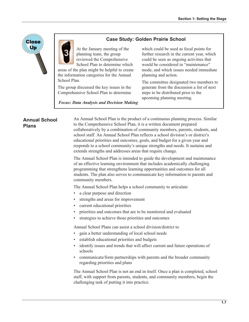



At the January meeting of the planning team, the group reviewed the Comprehensive School Plan to determine which

areas of the plan might be helpful to create the information categories for the Annual School Plan.

The group discussed the key issues in the Comprehensive School Plan to determine which could be used as focal points for further research in the current year, which could be seen as ongoing activities that would be considered in "maintenance" mode, and which issues needed immediate planning and action.

The committee designated two members to generate from the discussion a list of next steps to be distributed prior to the upcoming planning meeting.

**Focus: Data Analysis and Decision Making** 

## **Annual School Plans**

An Annual School Plan is the product of a continuous planning process. Similar to the Comprehensive School Plan, it is a written document prepared collaboratively by a combination of community members, parents, students, and school staff. An Annual School Plan reflects a school division's or district's educational priorities and outcomes, goals, and budget for a given year and responds to a school community's unique strengths and needs. It sustains and extends strengths and addresses areas that require change.

The Annual School Plan is intended to guide the development and maintenance of an effective learning environment that includes academically challenging programming that strengthens learning opportunities and outcomes for all students. The plan also serves to communicate key information to parents and community members.

The Annual School Plan helps a school community to articulate

- a clear purpose and direction
- strengths and areas for improvement
- current educational priorities
- priorities and outcomes that are to be monitored and evaluated
- strategies to achieve those priorities and outcomes

Annual School Plans can assist a school division/district to

- gain a better understanding of local school needs  $\bullet$
- establish educational priorities and budgets
- identify issues and trends that will affect current and future operations of schools
- communicate/form partnerships with parents and the broader community regarding priorities and plans

The Annual School Plan is not an end in itself. Once a plan is completed, school staff, with support from parents, students, and community members, begin the challenging task of putting it into practice.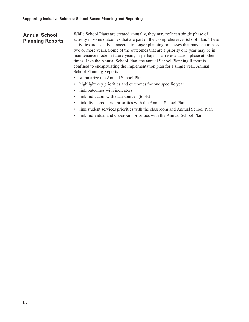# **Annual School Planning Reports**

While School Plans are created annually, they may reflect a single phase of activity in some outcomes that are part of the Comprehensive School Plan. These activities are usually connected to longer planning processes that may encompass two or more years. Some of the outcomes that are a priority one year may be in maintenance mode in future years, or perhaps in a re-evaluation phase at other times. Like the Annual School Plan, the annual School Planning Report is confined to encapsulating the implementation plan for a single year. Annual **School Planning Reports** 

- $\bullet$ summarize the Annual School Plan
- highlight key priorities and outcomes for one specific year  $\bullet$
- link outcomes with indicators  $\bullet$  .
- link indicators with data sources (tools)  $\bullet$
- link division/district priorities with the Annual School Plan  $\bullet$
- link student services priorities with the classroom and Annual School Plan  $\bullet$  .
- link individual and classroom priorities with the Annual School Plan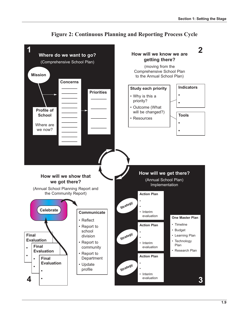

# **Figure 2: Continuous Planning and Reporting Process Cycle**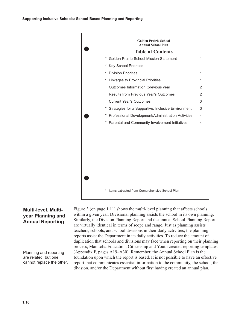

# **Multi-level, Multi**year Planning and **Annual Reporting**

Planning and reporting are related, but one cannot replace the other. Figure 3 (on page 1.11) shows the multi-level planning that affects schools within a given year. Divisional planning assists the school in its own planning. Similarly, the Division Planning Report and the annual School Planning Report are virtually identical in terms of scope and range. Just as planning assists teachers, schools, and school divisions in their daily activities, the planning reports assist the Department in its daily activities. To reduce the amount of duplication that schools and divisions may face when reporting on their planning process, Manitoba Education, Citizenship and Youth created reporting templates (Appendix F, pages A19–A30). Remember, the Annual School Plan is the foundation upon which the report is based. It is not possible to have an effective report that communicates essential information to the community, the school, the division, and/or the Department without first having created an annual plan.